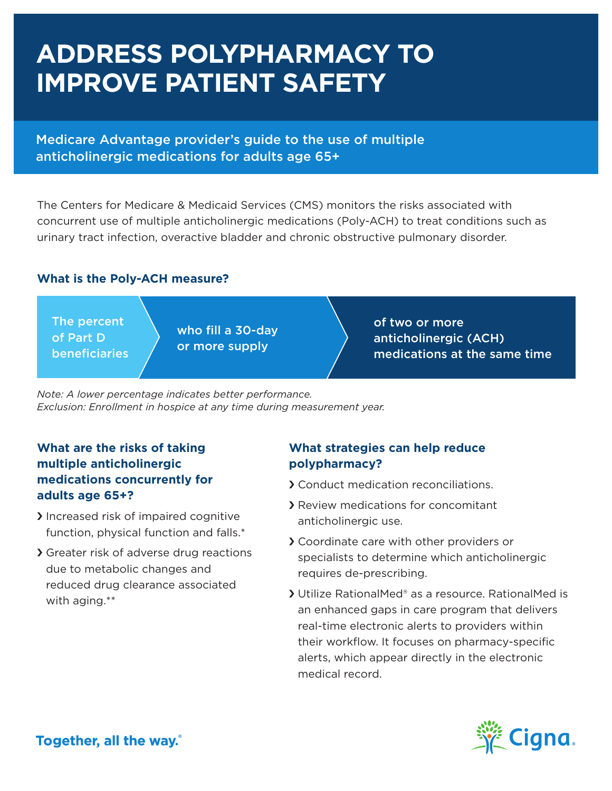## **ADDRESS POLYPHARMACY TO IMPROVE PATIENT SAFETY**

Medicare Advantage provider's guide to the use of multiple anticholinergic medications for adults age 65+

The Centers for Medicare & Medicaid Services (CMS) monitors the risks associated with concurrent use of multiple anticholinergic medications (Poly-ACH) to treat conditions such as urinary tract infection, overactive bladder and chronic obstructive pulmonary disorder.

## **What is the Poly-ACH measure?**



*Note: A lower percentage indicates better performance. Exclusion: Enrollment in hospice at any time during measurement year.*

## **What are the risks of taking multiple anticholinergic medications concurrently for adults age 65+?**

- › Increased risk of impaired cognitive function, physical function and falls.\*
- › Greater risk of adverse drug reactions due to metabolic changes and reduced drug clearance associated with aging.\*\*

## **What strategies can help reduce polypharmacy?**

- › Conduct medication reconciliations.
- › Review medications for concomitant anticholinergic use.
- › Coordinate care with other providers or specialists to determine which anticholinergic requires de-prescribing.
- › Utilize RationalMed® as a resource. RationalMed is an enhanced gaps in care program that delivers real-time electronic alerts to providers within their workflow. It focuses on pharmacy-specific alerts, which appear directly in the electronic medical record.



**Together, all the way.**